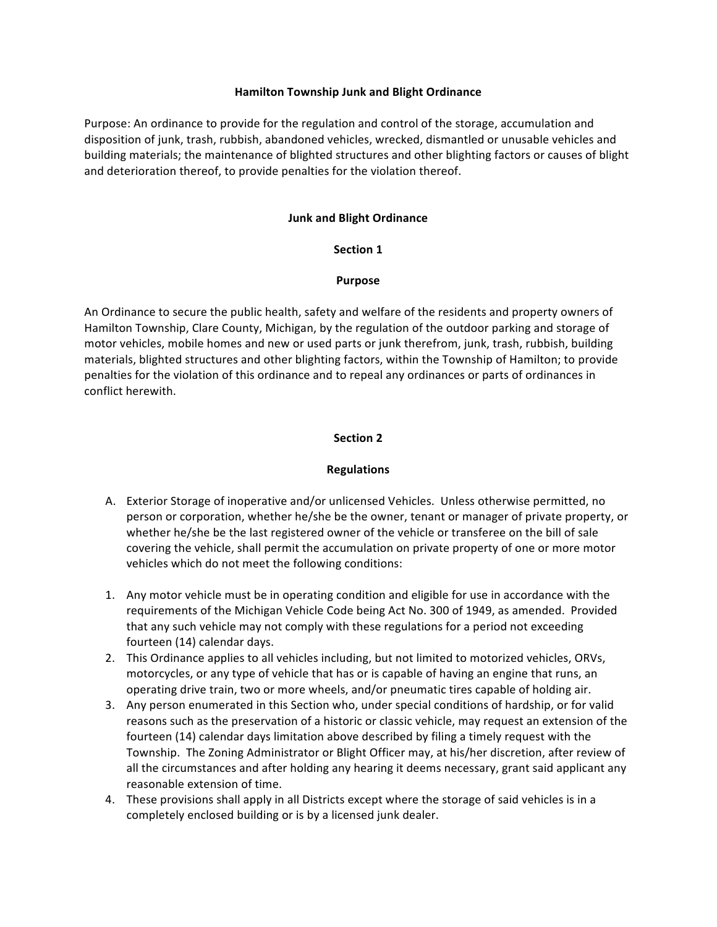#### **Hamilton Township Junk and Blight Ordinance**

Purpose: An ordinance to provide for the regulation and control of the storage, accumulation and disposition of junk, trash, rubbish, abandoned vehicles, wrecked, dismantled or unusable vehicles and building materials; the maintenance of blighted structures and other blighting factors or causes of blight and deterioration thereof, to provide penalties for the violation thereof.

### **Junk and Blight Ordinance**

#### **Section 1**

#### **Purpose**

An Ordinance to secure the public health, safety and welfare of the residents and property owners of Hamilton Township, Clare County, Michigan, by the regulation of the outdoor parking and storage of motor vehicles, mobile homes and new or used parts or junk therefrom, junk, trash, rubbish, building materials, blighted structures and other blighting factors, within the Township of Hamilton; to provide penalties for the violation of this ordinance and to repeal any ordinances or parts of ordinances in conflict herewith.

### **Section 2**

### **Regulations**

- A. Exterior Storage of inoperative and/or unlicensed Vehicles. Unless otherwise permitted, no person or corporation, whether he/she be the owner, tenant or manager of private property, or whether he/she be the last registered owner of the vehicle or transferee on the bill of sale covering the vehicle, shall permit the accumulation on private property of one or more motor vehicles which do not meet the following conditions:
- 1. Any motor vehicle must be in operating condition and eligible for use in accordance with the requirements of the Michigan Vehicle Code being Act No. 300 of 1949, as amended. Provided that any such vehicle may not comply with these regulations for a period not exceeding fourteen (14) calendar days.
- 2. This Ordinance applies to all vehicles including, but not limited to motorized vehicles, ORVs, motorcycles, or any type of vehicle that has or is capable of having an engine that runs, an operating drive train, two or more wheels, and/or pneumatic tires capable of holding air.
- 3. Any person enumerated in this Section who, under special conditions of hardship, or for valid reasons such as the preservation of a historic or classic vehicle, may request an extension of the fourteen (14) calendar days limitation above described by filing a timely request with the Township. The Zoning Administrator or Blight Officer may, at his/her discretion, after review of all the circumstances and after holding any hearing it deems necessary, grant said applicant any reasonable extension of time.
- 4. These provisions shall apply in all Districts except where the storage of said vehicles is in a completely enclosed building or is by a licensed junk dealer.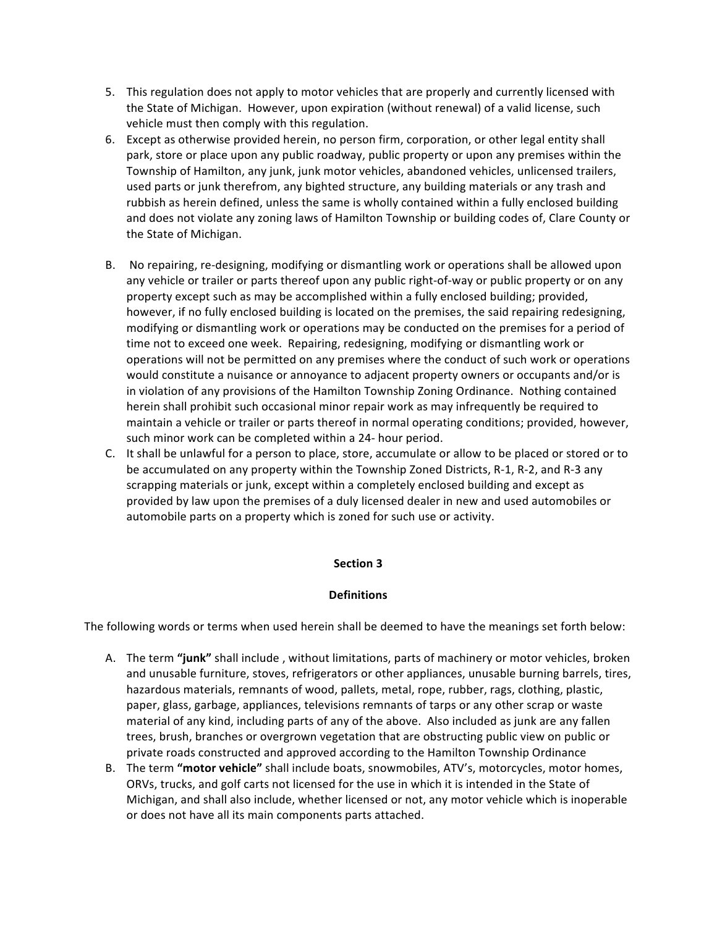- 5. This regulation does not apply to motor vehicles that are properly and currently licensed with the State of Michigan. However, upon expiration (without renewal) of a valid license, such vehicle must then comply with this regulation.
- 6. Except as otherwise provided herein, no person firm, corporation, or other legal entity shall park, store or place upon any public roadway, public property or upon any premises within the Township of Hamilton, any junk, junk motor vehicles, abandoned vehicles, unlicensed trailers, used parts or junk therefrom, any bighted structure, any building materials or any trash and rubbish as herein defined, unless the same is wholly contained within a fully enclosed building and does not violate any zoning laws of Hamilton Township or building codes of, Clare County or the State of Michigan.
- B. No repairing, re-designing, modifying or dismantling work or operations shall be allowed upon any vehicle or trailer or parts thereof upon any public right-of-way or public property or on any property except such as may be accomplished within a fully enclosed building; provided, however, if no fully enclosed building is located on the premises, the said repairing redesigning, modifying or dismantling work or operations may be conducted on the premises for a period of time not to exceed one week. Repairing, redesigning, modifying or dismantling work or operations will not be permitted on any premises where the conduct of such work or operations would constitute a nuisance or annoyance to adjacent property owners or occupants and/or is in violation of any provisions of the Hamilton Township Zoning Ordinance. Nothing contained herein shall prohibit such occasional minor repair work as may infrequently be required to maintain a vehicle or trailer or parts thereof in normal operating conditions; provided, however, such minor work can be completed within a 24- hour period.
- C. It shall be unlawful for a person to place, store, accumulate or allow to be placed or stored or to be accumulated on any property within the Township Zoned Districts, R-1, R-2, and R-3 any scrapping materials or junk, except within a completely enclosed building and except as provided by law upon the premises of a duly licensed dealer in new and used automobiles or automobile parts on a property which is zoned for such use or activity.

### **Section 3**

### **Definitions**

The following words or terms when used herein shall be deemed to have the meanings set forth below:

- A. The term "**junk**" shall include, without limitations, parts of machinery or motor vehicles, broken and unusable furniture, stoves, refrigerators or other appliances, unusable burning barrels, tires, hazardous materials, remnants of wood, pallets, metal, rope, rubber, rags, clothing, plastic, paper, glass, garbage, appliances, televisions remnants of tarps or any other scrap or waste material of any kind, including parts of any of the above. Also included as junk are any fallen trees, brush, branches or overgrown vegetation that are obstructing public view on public or private roads constructed and approved according to the Hamilton Township Ordinance
- B. The term "motor vehicle" shall include boats, snowmobiles, ATV's, motorcycles, motor homes, ORVs, trucks, and golf carts not licensed for the use in which it is intended in the State of Michigan, and shall also include, whether licensed or not, any motor vehicle which is inoperable or does not have all its main components parts attached.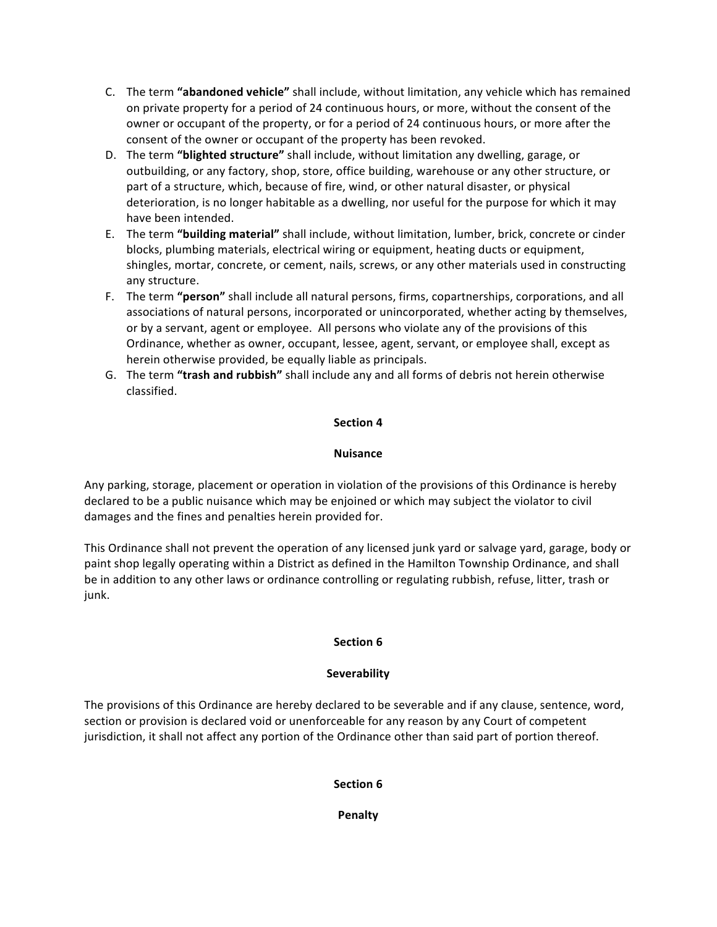- C. The term "abandoned vehicle" shall include, without limitation, any vehicle which has remained on private property for a period of 24 continuous hours, or more, without the consent of the owner or occupant of the property, or for a period of 24 continuous hours, or more after the consent of the owner or occupant of the property has been revoked.
- D. The term "blighted structure" shall include, without limitation any dwelling, garage, or outbuilding, or any factory, shop, store, office building, warehouse or any other structure, or part of a structure, which, because of fire, wind, or other natural disaster, or physical deterioration, is no longer habitable as a dwelling, nor useful for the purpose for which it may have been intended.
- E. The term "building material" shall include, without limitation, lumber, brick, concrete or cinder blocks, plumbing materials, electrical wiring or equipment, heating ducts or equipment, shingles, mortar, concrete, or cement, nails, screws, or any other materials used in constructing any structure.
- F. The term "person" shall include all natural persons, firms, copartnerships, corporations, and all associations of natural persons, incorporated or unincorporated, whether acting by themselves, or by a servant, agent or employee. All persons who violate any of the provisions of this Ordinance, whether as owner, occupant, lessee, agent, servant, or employee shall, except as herein otherwise provided, be equally liable as principals.
- G. The term "trash and rubbish" shall include any and all forms of debris not herein otherwise classified.

## **Section 4**

## **Nuisance**

Any parking, storage, placement or operation in violation of the provisions of this Ordinance is hereby declared to be a public nuisance which may be enjoined or which may subject the violator to civil damages and the fines and penalties herein provided for.

This Ordinance shall not prevent the operation of any licensed junk yard or salvage yard, garage, body or paint shop legally operating within a District as defined in the Hamilton Township Ordinance, and shall be in addition to any other laws or ordinance controlling or regulating rubbish, refuse, litter, trash or junk.

## **Section 6**

## **Severability**

The provisions of this Ordinance are hereby declared to be severable and if any clause, sentence, word, section or provision is declared void or unenforceable for any reason by any Court of competent jurisdiction, it shall not affect any portion of the Ordinance other than said part of portion thereof.

# **Section 6**

**Penalty**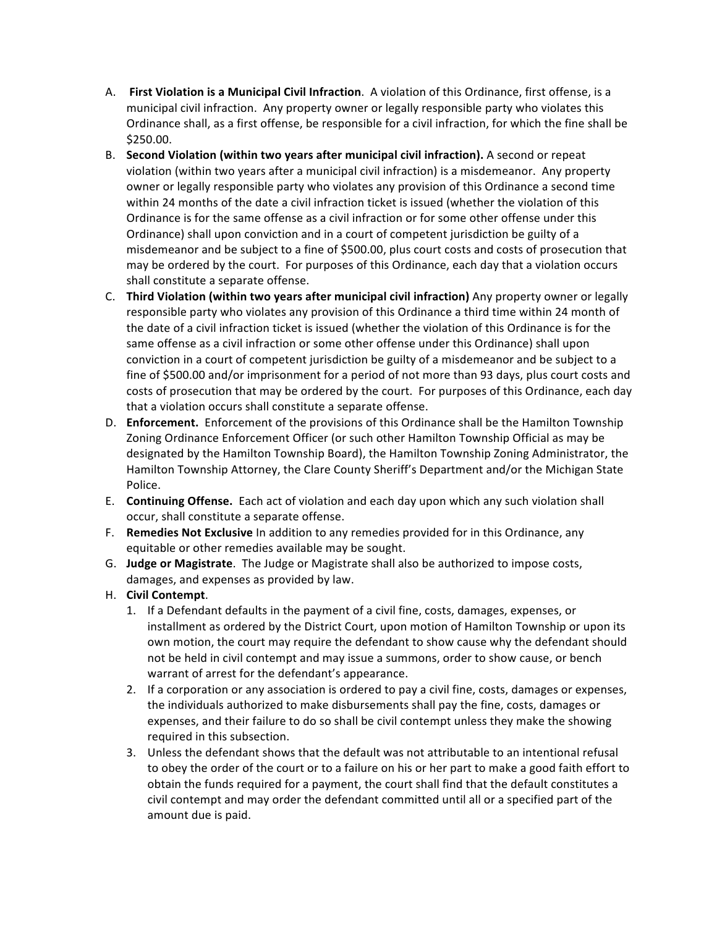- A. **First Violation is a Municipal Civil Infraction**. A violation of this Ordinance, first offense, is a municipal civil infraction. Any property owner or legally responsible party who violates this Ordinance shall, as a first offense, be responsible for a civil infraction, for which the fine shall be \$250.00.
- B. Second Violation (within two years after municipal civil infraction). A second or repeat violation (within two years after a municipal civil infraction) is a misdemeanor. Any property owner or legally responsible party who violates any provision of this Ordinance a second time within 24 months of the date a civil infraction ticket is issued (whether the violation of this Ordinance is for the same offense as a civil infraction or for some other offense under this Ordinance) shall upon conviction and in a court of competent jurisdiction be guilty of a misdemeanor and be subject to a fine of \$500.00, plus court costs and costs of prosecution that may be ordered by the court. For purposes of this Ordinance, each day that a violation occurs shall constitute a separate offense.
- C. **Third Violation (within two years after municipal civil infraction)** Any property owner or legally responsible party who violates any provision of this Ordinance a third time within 24 month of the date of a civil infraction ticket is issued (whether the violation of this Ordinance is for the same offense as a civil infraction or some other offense under this Ordinance) shall upon conviction in a court of competent jurisdiction be guilty of a misdemeanor and be subject to a fine of \$500.00 and/or imprisonment for a period of not more than 93 days, plus court costs and costs of prosecution that may be ordered by the court. For purposes of this Ordinance, each day that a violation occurs shall constitute a separate offense.
- D. **Enforcement.** Enforcement of the provisions of this Ordinance shall be the Hamilton Township Zoning Ordinance Enforcement Officer (or such other Hamilton Township Official as may be designated by the Hamilton Township Board), the Hamilton Township Zoning Administrator, the Hamilton Township Attorney, the Clare County Sheriff's Department and/or the Michigan State Police.
- E. **Continuing Offense.** Each act of violation and each day upon which any such violation shall occur, shall constitute a separate offense.
- F. **Remedies Not Exclusive** In addition to any remedies provided for in this Ordinance, any equitable or other remedies available may be sought.
- G. Judge or Magistrate. The Judge or Magistrate shall also be authorized to impose costs, damages, and expenses as provided by law.
- H. **Civil Contempt**.
	- 1. If a Defendant defaults in the payment of a civil fine, costs, damages, expenses, or installment as ordered by the District Court, upon motion of Hamilton Township or upon its own motion, the court may require the defendant to show cause why the defendant should not be held in civil contempt and may issue a summons, order to show cause, or bench warrant of arrest for the defendant's appearance.
	- 2. If a corporation or any association is ordered to pay a civil fine, costs, damages or expenses, the individuals authorized to make disbursements shall pay the fine, costs, damages or expenses, and their failure to do so shall be civil contempt unless they make the showing required in this subsection.
	- 3. Unless the defendant shows that the default was not attributable to an intentional refusal to obey the order of the court or to a failure on his or her part to make a good faith effort to obtain the funds required for a payment, the court shall find that the default constitutes a civil contempt and may order the defendant committed until all or a specified part of the amount due is paid.